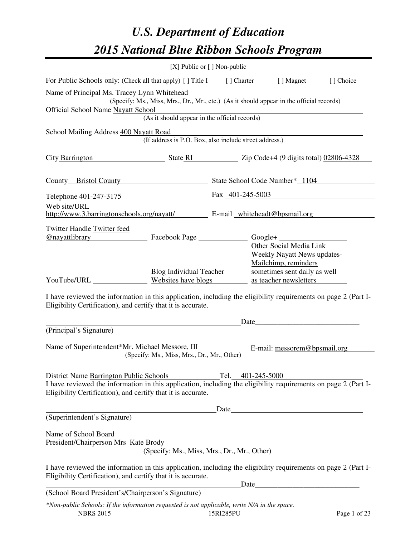# *U.S. Department of Education 2015 National Blue Ribbon Schools Program*

|                                                                                                                                                                                                                                      | [X] Public or [] Non-public                                                              |           |                   |                                                               |              |
|--------------------------------------------------------------------------------------------------------------------------------------------------------------------------------------------------------------------------------------|------------------------------------------------------------------------------------------|-----------|-------------------|---------------------------------------------------------------|--------------|
| For Public Schools only: (Check all that apply) [] Title I [] Charter [] Magnet [] Choice                                                                                                                                            |                                                                                          |           |                   |                                                               |              |
| Name of Principal Ms. Tracey Lynn Whitehead                                                                                                                                                                                          |                                                                                          |           |                   |                                                               |              |
| <b>Official School Name Nayatt School</b>                                                                                                                                                                                            | (Specify: Ms., Miss, Mrs., Dr., Mr., etc.) (As it should appear in the official records) |           |                   |                                                               |              |
|                                                                                                                                                                                                                                      | (As it should appear in the official records)                                            |           |                   |                                                               |              |
| School Mailing Address 400 Nayatt Road                                                                                                                                                                                               |                                                                                          |           |                   |                                                               |              |
|                                                                                                                                                                                                                                      | (If address is P.O. Box, also include street address.)                                   |           |                   |                                                               |              |
| City Barrington State RI State RI Zip Code+4 (9 digits total) 02806-4328                                                                                                                                                             |                                                                                          |           |                   |                                                               |              |
| County Bristol County State School Code Number* 1104                                                                                                                                                                                 |                                                                                          |           |                   |                                                               |              |
| Telephone 401-247-3175 Fax 401-245-5003                                                                                                                                                                                              |                                                                                          |           |                   |                                                               |              |
| Web site/URL<br>http://www.3.barringtonschools.org/nayatt/ E-mail whiteheadt@bpsmail.org                                                                                                                                             |                                                                                          |           |                   |                                                               |              |
| Twitter Handle Twitter feed                                                                                                                                                                                                          |                                                                                          |           |                   |                                                               |              |
| <u>@nayattlibrary Facebook Page Google+ Constantino Constantino Constantino Constantino Constantino Constantino Constantino Constantino Constantino Constantino Constantino Constantino Constantino Constantino Constantino Cons</u> |                                                                                          |           |                   |                                                               |              |
|                                                                                                                                                                                                                                      |                                                                                          |           |                   | Other Social Media Link<br><b>Weekly Nayatt News updates-</b> |              |
|                                                                                                                                                                                                                                      |                                                                                          |           |                   | Mailchimp, reminders                                          |              |
|                                                                                                                                                                                                                                      | Blog Individual Teacher                                                                  |           |                   | sometimes sent daily as well                                  |              |
| YouTube/URL Websites have blogs                                                                                                                                                                                                      |                                                                                          |           |                   | as teacher newsletters                                        |              |
| I have reviewed the information in this application, including the eligibility requirements on page 2 (Part I-<br>Eligibility Certification), and certify that it is accurate.                                                       |                                                                                          |           |                   |                                                               |              |
|                                                                                                                                                                                                                                      |                                                                                          |           |                   | Date                                                          |              |
| (Principal's Signature)                                                                                                                                                                                                              |                                                                                          |           |                   |                                                               |              |
| Name of Superintendent*Mr. Michael Messore, III                                                                                                                                                                                      | (Specify: Ms., Miss, Mrs., Dr., Mr., Other)                                              |           |                   | E-mail: messorem@bpsmail.org                                  |              |
| District Name Barrington Public Schools                                                                                                                                                                                              |                                                                                          |           | Tel. 401-245-5000 |                                                               |              |
| I have reviewed the information in this application, including the eligibility requirements on page 2 (Part I-<br>Eligibility Certification), and certify that it is accurate.                                                       |                                                                                          |           |                   |                                                               |              |
|                                                                                                                                                                                                                                      |                                                                                          |           |                   |                                                               |              |
| (Superintendent's Signature)                                                                                                                                                                                                         |                                                                                          |           |                   |                                                               |              |
| Name of School Board<br>President/Chairperson Mrs Kate Brody                                                                                                                                                                         |                                                                                          |           |                   |                                                               |              |
|                                                                                                                                                                                                                                      | (Specify: Ms., Miss, Mrs., Dr., Mr., Other)                                              |           |                   |                                                               |              |
| I have reviewed the information in this application, including the eligibility requirements on page 2 (Part I-<br>Eligibility Certification), and certify that it is accurate.                                                       |                                                                                          |           |                   |                                                               |              |
| (School Board President's/Chairperson's Signature)                                                                                                                                                                                   |                                                                                          |           | Date              | <u> 1989 - Johann Barbara, martxa alemaniar a</u>             |              |
| *Non-public Schools: If the information requested is not applicable, write N/A in the space.                                                                                                                                         |                                                                                          |           |                   |                                                               |              |
| <b>NBRS 2015</b>                                                                                                                                                                                                                     |                                                                                          | 15RI285PU |                   |                                                               | Page 1 of 23 |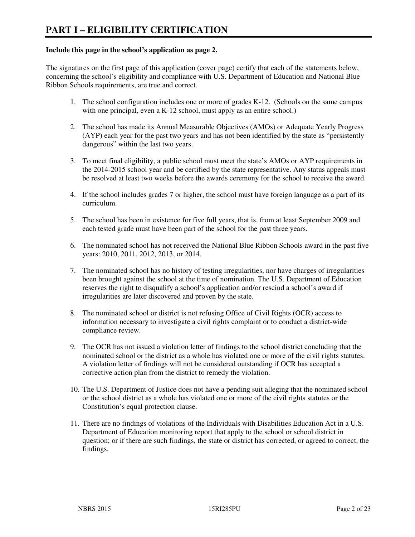#### **Include this page in the school's application as page 2.**

The signatures on the first page of this application (cover page) certify that each of the statements below, concerning the school's eligibility and compliance with U.S. Department of Education and National Blue Ribbon Schools requirements, are true and correct.

- 1. The school configuration includes one or more of grades K-12. (Schools on the same campus with one principal, even a K-12 school, must apply as an entire school.)
- 2. The school has made its Annual Measurable Objectives (AMOs) or Adequate Yearly Progress (AYP) each year for the past two years and has not been identified by the state as "persistently dangerous" within the last two years.
- 3. To meet final eligibility, a public school must meet the state's AMOs or AYP requirements in the 2014-2015 school year and be certified by the state representative. Any status appeals must be resolved at least two weeks before the awards ceremony for the school to receive the award.
- 4. If the school includes grades 7 or higher, the school must have foreign language as a part of its curriculum.
- 5. The school has been in existence for five full years, that is, from at least September 2009 and each tested grade must have been part of the school for the past three years.
- 6. The nominated school has not received the National Blue Ribbon Schools award in the past five years: 2010, 2011, 2012, 2013, or 2014.
- 7. The nominated school has no history of testing irregularities, nor have charges of irregularities been brought against the school at the time of nomination. The U.S. Department of Education reserves the right to disqualify a school's application and/or rescind a school's award if irregularities are later discovered and proven by the state.
- 8. The nominated school or district is not refusing Office of Civil Rights (OCR) access to information necessary to investigate a civil rights complaint or to conduct a district-wide compliance review.
- 9. The OCR has not issued a violation letter of findings to the school district concluding that the nominated school or the district as a whole has violated one or more of the civil rights statutes. A violation letter of findings will not be considered outstanding if OCR has accepted a corrective action plan from the district to remedy the violation.
- 10. The U.S. Department of Justice does not have a pending suit alleging that the nominated school or the school district as a whole has violated one or more of the civil rights statutes or the Constitution's equal protection clause.
- 11. There are no findings of violations of the Individuals with Disabilities Education Act in a U.S. Department of Education monitoring report that apply to the school or school district in question; or if there are such findings, the state or district has corrected, or agreed to correct, the findings.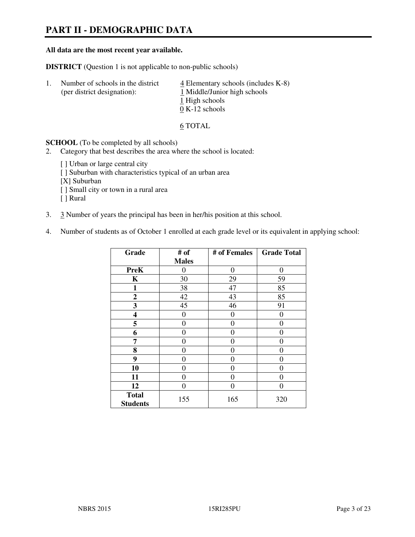# **PART II - DEMOGRAPHIC DATA**

#### **All data are the most recent year available.**

**DISTRICT** (Question 1 is not applicable to non-public schools)

| -1. | Number of schools in the district<br>(per district designation): | $\overline{4}$ Elementary schools (includes K-8)<br>1 Middle/Junior high schools |
|-----|------------------------------------------------------------------|----------------------------------------------------------------------------------|
|     |                                                                  | 1 High schools                                                                   |
|     |                                                                  | $0 K-12$ schools                                                                 |

6 TOTAL

**SCHOOL** (To be completed by all schools)

- 2. Category that best describes the area where the school is located:
	- [ ] Urban or large central city
	- [ ] Suburban with characteristics typical of an urban area
	- [X] Suburban
	- [ ] Small city or town in a rural area
	- [ ] Rural
- 3. 3 Number of years the principal has been in her/his position at this school.
- 4. Number of students as of October 1 enrolled at each grade level or its equivalent in applying school:

| Grade                           | # of         | # of Females   | <b>Grade Total</b> |
|---------------------------------|--------------|----------------|--------------------|
|                                 | <b>Males</b> |                |                    |
| <b>PreK</b>                     | $\theta$     | $\theta$       | $\theta$           |
| K                               | 30           | 29             | 59                 |
| $\mathbf{1}$                    | 38           | 47             | 85                 |
| $\boldsymbol{2}$                | 42           | 43             | 85                 |
| 3                               | 45           | 46             | 91                 |
| 4                               | 0            | $\theta$       | 0                  |
| 5                               | $\theta$     | 0              | 0                  |
| 6                               | 0            | 0              | 0                  |
| 7                               | 0            | $\overline{0}$ | 0                  |
| 8                               | 0            | 0              | 0                  |
| 9                               | $\theta$     | 0              | 0                  |
| 10                              | 0            | 0              | 0                  |
| 11                              | 0            | 0              | $\theta$           |
| 12                              | 0            | 0              | 0                  |
| <b>Total</b><br><b>Students</b> | 155          | 165            | 320                |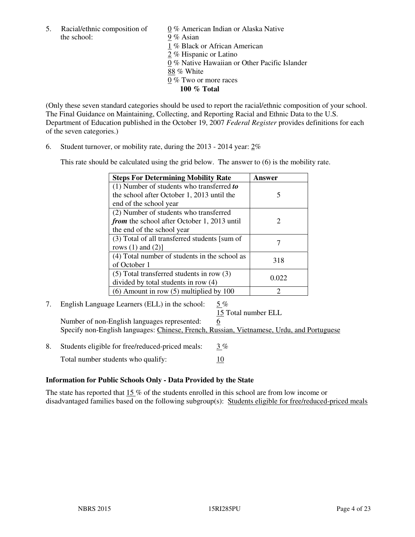5. Racial/ethnic composition of  $0\%$  American Indian or Alaska Native the school: 9 % Asian

 1 % Black or African American 2 % Hispanic or Latino 0 % Native Hawaiian or Other Pacific Islander 88 % White 0 % Two or more races **100 % Total** 

(Only these seven standard categories should be used to report the racial/ethnic composition of your school. The Final Guidance on Maintaining, Collecting, and Reporting Racial and Ethnic Data to the U.S. Department of Education published in the October 19, 2007 *Federal Register* provides definitions for each of the seven categories.)

6. Student turnover, or mobility rate, during the 2013 - 2014 year: 2%

This rate should be calculated using the grid below. The answer to (6) is the mobility rate.

| <b>Steps For Determining Mobility Rate</b>         | Answer |
|----------------------------------------------------|--------|
| $(1)$ Number of students who transferred to        |        |
| the school after October 1, 2013 until the         | 5      |
| end of the school year                             |        |
| (2) Number of students who transferred             |        |
| <i>from</i> the school after October 1, 2013 until | 2      |
| the end of the school year                         |        |
| (3) Total of all transferred students [sum of      |        |
| rows $(1)$ and $(2)$ ]                             |        |
| (4) Total number of students in the school as      | 318    |
| of October 1                                       |        |
| $(5)$ Total transferred students in row $(3)$      |        |
| divided by total students in row (4)               | 0.022  |
| $(6)$ Amount in row $(5)$ multiplied by 100        | 2      |

7. English Language Learners (ELL) in the school: 5 %

15 Total number ELL

Number of non-English languages represented: 6 Specify non-English languages: Chinese, French, Russian, Vietnamese, Urdu, and Portuguese

8. Students eligible for free/reduced-priced meals:  $3\%$ Total number students who qualify: 10

#### **Information for Public Schools Only - Data Provided by the State**

The state has reported that  $15\%$  of the students enrolled in this school are from low income or disadvantaged families based on the following subgroup(s): Students eligible for free/reduced-priced meals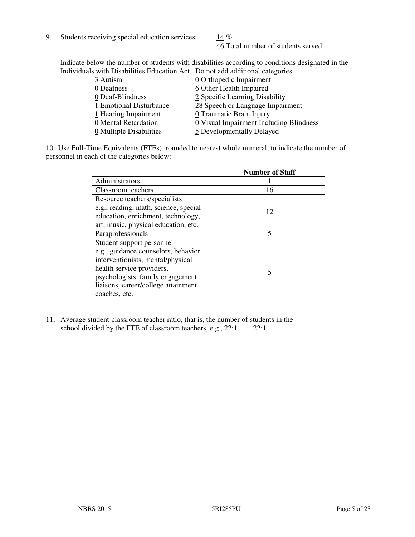9. Students receiving special education services:  $14\%$ 

46 Total number of students served

Indicate below the number of students with disabilities according to conditions designated in the Individuals with Disabilities Education Act. Do not add additional categories.

| 0 Orthopedic Impairment                                     |
|-------------------------------------------------------------|
| 6 Other Health Impaired                                     |
| 2 Specific Learning Disability                              |
| 28 Speech or Language Impairment<br>1 Emotional Disturbance |
| 0 Traumatic Brain Injury                                    |
| 0 Visual Impairment Including Blindness                     |
| 5 Developmentally Delayed                                   |
| 0 Multiple Disabilities                                     |

10. Use Full-Time Equivalents (FTEs), rounded to nearest whole numeral, to indicate the number of personnel in each of the categories below:

|                                       | <b>Number of Staff</b> |
|---------------------------------------|------------------------|
| Administrators                        |                        |
| Classroom teachers                    | 16                     |
| Resource teachers/specialists         |                        |
| e.g., reading, math, science, special | 12                     |
| education, enrichment, technology,    |                        |
| art, music, physical education, etc.  |                        |
| Paraprofessionals                     | 5                      |
| Student support personnel             |                        |
| e.g., guidance counselors, behavior   |                        |
| interventionists, mental/physical     |                        |
| health service providers,             | 5                      |
| psychologists, family engagement      |                        |
| liaisons, career/college attainment   |                        |
| coaches, etc.                         |                        |
|                                       |                        |

11. Average student-classroom teacher ratio, that is, the number of students in the school divided by the FTE of classroom teachers, e.g.,  $22:1$  22:1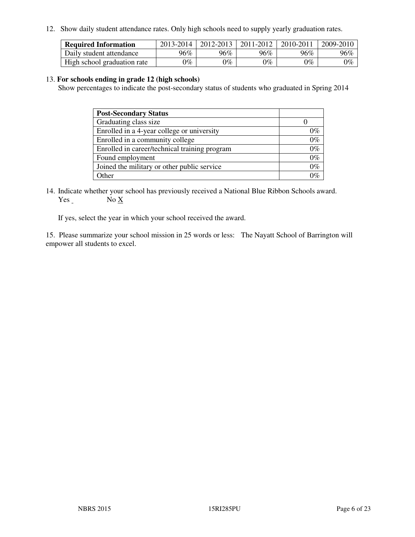12. Show daily student attendance rates. Only high schools need to supply yearly graduation rates.

| <b>Required Information</b> | 2013-2014     | 2012-2013       | 2011-2012 | 2010-2011 | 2009-2010 |
|-----------------------------|---------------|-----------------|-----------|-----------|-----------|
| Daily student attendance    | 96%           | $96\%$          | 96%       | 96%       | 96%       |
| High school graduation rate | $\gamma_{\%}$ | $\mathcal{V}_o$ | $0\%$     | 0%        | 0%        |

#### 13. **For schools ending in grade 12 (high schools)**

Show percentages to indicate the post-secondary status of students who graduated in Spring 2014

| <b>Post-Secondary Status</b>                  |       |
|-----------------------------------------------|-------|
| Graduating class size                         |       |
| Enrolled in a 4-year college or university    | በ‰    |
| Enrolled in a community college               | $0\%$ |
| Enrolled in career/technical training program | $0\%$ |
| Found employment                              | $0\%$ |
| Joined the military or other public service   | 0%    |
| Other                                         |       |

14. Indicate whether your school has previously received a National Blue Ribbon Schools award. Yes No X

If yes, select the year in which your school received the award.

15. Please summarize your school mission in 25 words or less: The Nayatt School of Barrington will empower all students to excel.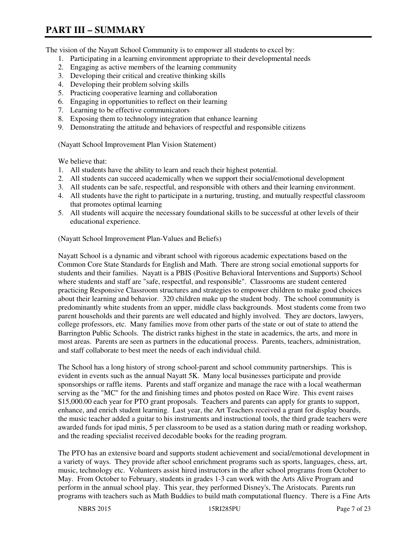# **PART III – SUMMARY**

The vision of the Nayatt School Community is to empower all students to excel by:

- 1. Participating in a learning environment appropriate to their developmental needs
- 2. Engaging as active members of the learning community
- 3. Developing their critical and creative thinking skills
- 4. Developing their problem solving skills
- 5. Practicing cooperative learning and collaboration
- 6. Engaging in opportunities to reflect on their learning
- 7. Learning to be effective communicators
- 8. Exposing them to technology integration that enhance learning
- 9. Demonstrating the attitude and behaviors of respectful and responsible citizens

(Nayatt School Improvement Plan Vision Statement)

We believe that:

- 1. All students have the ability to learn and reach their highest potential.
- 2. All students can succeed academically when we support their social/emotional development
- 3. All students can be safe, respectful, and responsible with others and their learning environment.
- 4. All students have the right to participate in a nurturing, trusting, and mutually respectful classroom that promotes optimal learning
- 5. All students will acquire the necessary foundational skills to be successful at other levels of their educational experience.

(Nayatt School Improvement Plan-Values and Beliefs)

Nayatt School is a dynamic and vibrant school with rigorous academic expectations based on the Common Core State Standards for English and Math. There are strong social emotional supports for students and their families. Nayatt is a PBIS (Positive Behavioral Interventions and Supports) School where students and staff are "safe, respectful, and responsible". Classrooms are student centered practicing Responsive Classroom structures and strategies to empower children to make good choices about their learning and behavior. 320 children make up the student body. The school community is predominantly white students from an upper, middle class backgrounds. Most students come from two parent households and their parents are well educated and highly involved. They are doctors, lawyers, college professors, etc. Many families move from other parts of the state or out of state to attend the Barrington Public Schools. The district ranks highest in the state in academics, the arts, and more in most areas. Parents are seen as partners in the educational process. Parents, teachers, administration, and staff collaborate to best meet the needs of each individual child.

The School has a long history of strong school-parent and school community partnerships. This is evident in events such as the annual Nayatt 5K. Many local businesses participate and provide sponsorships or raffle items. Parents and staff organize and manage the race with a local weatherman serving as the "MC" for the and finishing times and photos posted on Race Wire. This event raises \$15,000.00 each year for PTO grant proposals. Teachers and parents can apply for grants to support, enhance, and enrich student learning. Last year, the Art Teachers received a grant for display boards, the music teacher added a guitar to his instruments and instructional tools, the third grade teachers were awarded funds for ipad minis, 5 per classroom to be used as a station during math or reading workshop, and the reading specialist received decodable books for the reading program.

The PTO has an extensive board and supports student achievement and social/emotional development in a variety of ways. They provide after school enrichment programs such as sports, languages, chess, art, music, technology etc. Volunteers assist hired instructors in the after school programs from October to May. From October to February, students in grades 1-3 can work with the Arts Alive Program and perform in the annual school play. This year, they performed Disney's, The Aristocats. Parents run programs with teachers such as Math Buddies to build math computational fluency. There is a Fine Arts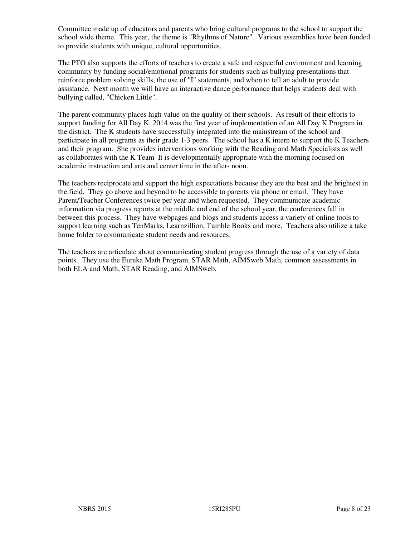Committee made up of educators and parents who bring cultural programs to the school to support the school wide theme. This year, the theme is "Rhythms of Nature". Various assemblies have been funded to provide students with unique, cultural opportunities.

The PTO also supports the efforts of teachers to create a safe and respectful environment and learning community by funding social/emotional programs for students such as bullying presentations that reinforce problem solving skills, the use of "I" statements, and when to tell an adult to provide assistance. Next month we will have an interactive dance performance that helps students deal with bullying called, "Chicken Little".

The parent community places high value on the quality of their schools. As result of their efforts to support funding for All Day K, 2014 was the first year of implementation of an All Day K Program in the district. The K students have successfully integrated into the mainstream of the school and participate in all programs as their grade 1-3 peers. The school has a K intern to support the K Teachers and their program. She provides interventions working with the Reading and Math Specialists as well as collaborates with the K Team It is developmentally appropriate with the morning focused on academic instruction and arts and center time in the after- noon.

The teachers reciprocate and support the high expectations because they are the best and the brightest in the field. They go above and beyond to be accessible to parents via phone or email. They have Parent/Teacher Conferences twice per year and when requested. They communicate academic information via progress reports at the middle and end of the school year, the conferences fall in between this process. They have webpages and blogs and students access a variety of online tools to support learning such as TenMarks, Learnzillion, Tumble Books and more. Teachers also utilize a take home folder to communicate student needs and resources.

The teachers are articulate about communicating student progress through the use of a variety of data points. They use the Eureka Math Program, STAR Math, AIMSweb Math, common assessments in both ELA and Math, STAR Reading, and AIMSweb.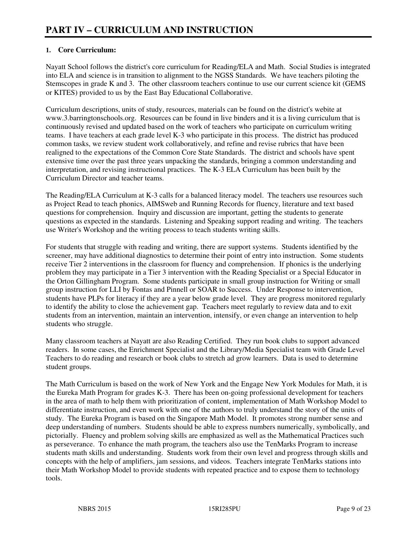## **1. Core Curriculum:**

Nayatt School follows the district's core curriculum for Reading/ELA and Math. Social Studies is integrated into ELA and science is in transition to alignment to the NGSS Standards. We have teachers piloting the Stemscopes in grade K and 3. The other classroom teachers continue to use our current science kit (GEMS or KITES) provided to us by the East Bay Educational Collaborative.

Curriculum descriptions, units of study, resources, materials can be found on the district's webite at www.3.barringtonschools.org. Resources can be found in live binders and it is a living curriculum that is continuously revised and updated based on the work of teachers who participate on curriculum writing teams. I have teachers at each grade level K-3 who participate in this process. The district has produced common tasks, we review student work collaboratively, and refine and revise rubrics that have been realigned to the expectations of the Common Core State Standards. The district and schools have spent extensive time over the past three years unpacking the standards, bringing a common understanding and interpretation, and revising instructional practices. The K-3 ELA Curriculum has been built by the Curriculum Director and teacher teams.

The Reading/ELA Curriculum at K-3 calls for a balanced literacy model. The teachers use resources such as Project Read to teach phonics, AIMSweb and Running Records for fluency, literature and text based questions for comprehension. Inquiry and discussion are important, getting the students to generate questions as expected in the standards. Listening and Speaking support reading and writing. The teachers use Writer's Workshop and the writing process to teach students writing skills.

For students that struggle with reading and writing, there are support systems. Students identified by the screener, may have additional diagnostics to determine their point of entry into instruction. Some students receive Tier 2 interventions in the classroom for fluency and comprehension. If phonics is the underlying problem they may participate in a Tier 3 intervention with the Reading Specialist or a Special Educator in the Orton Gillingham Program. Some students participate in small group instruction for Writing or small group instruction for LLI by Fontas and Pinnell or SOAR to Success. Under Response to intervention, students have PLPs for literacy if they are a year below grade level. They are progress monitored regularly to identify the ability to close the achievement gap. Teachers meet regularly to review data and to exit students from an intervention, maintain an intervention, intensify, or even change an intervention to help students who struggle.

Many classroom teachers at Nayatt are also Reading Certified. They run book clubs to support advanced readers. In some cases, the Enrichment Specialist and the Library/Media Specialist team with Grade Level Teachers to do reading and research or book clubs to stretch ad grow learners. Data is used to determine student groups.

The Math Curriculum is based on the work of New York and the Engage New York Modules for Math, it is the Eureka Math Program for grades K-3. There has been on-going professional development for teachers in the area of math to help them with prioritization of content, implementation of Math Workshop Model to differentiate instruction, and even work with one of the authors to truly understand the story of the units of study. The Eureka Program is based on the Singapore Math Model. It promotes strong number sense and deep understanding of numbers. Students should be able to express numbers numerically, symbolically, and pictorially. Fluency and problem solving skills are emphasized as well as the Mathematical Practices such as perseverance. To enhance the math program, the teachers also use the TenMarks Program to increase students math skills and understanding. Students work from their own level and progress through skills and concepts with the help of amplifiers, jam sessions, and videos. Teachers integrate TenMarks stations into their Math Workshop Model to provide students with repeated practice and to expose them to technology tools.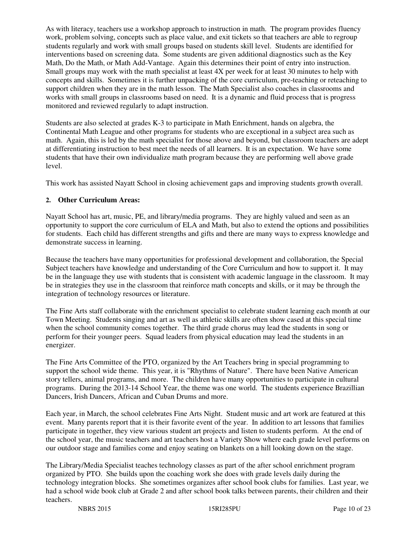As with literacy, teachers use a workshop approach to instruction in math. The program provides fluency work, problem solving, concepts such as place value, and exit tickets so that teachers are able to regroup students regularly and work with small groups based on students skill level. Students are identified for interventions based on screening data. Some students are given additional diagnostics such as the Key Math, Do the Math, or Math Add-Vantage. Again this determines their point of entry into instruction. Small groups may work with the math specialist at least 4X per week for at least 30 minutes to help with concepts and skills. Sometimes it is further unpacking of the core curriculum, pre-teaching or reteaching to support children when they are in the math lesson. The Math Specialist also coaches in classrooms and works with small groups in classrooms based on need. It is a dynamic and fluid process that is progress monitored and reviewed regularly to adapt instruction.

Students are also selected at grades K-3 to participate in Math Enrichment, hands on algebra, the Continental Math League and other programs for students who are exceptional in a subject area such as math. Again, this is led by the math specialist for those above and beyond, but classroom teachers are adept at differentiating instruction to best meet the needs of all learners. It is an expectation. We have some students that have their own individualize math program because they are performing well above grade level.

This work has assisted Nayatt School in closing achievement gaps and improving students growth overall.

## **2. Other Curriculum Areas:**

Nayatt School has art, music, PE, and library/media programs. They are highly valued and seen as an opportunity to support the core curriculum of ELA and Math, but also to extend the options and possibilities for students. Each child has different strengths and gifts and there are many ways to express knowledge and demonstrate success in learning.

Because the teachers have many opportunities for professional development and collaboration, the Special Subject teachers have knowledge and understanding of the Core Curriculum and how to support it. It may be in the language they use with students that is consistent with academic language in the classroom. It may be in strategies they use in the classroom that reinforce math concepts and skills, or it may be through the integration of technology resources or literature.

The Fine Arts staff collaborate with the enrichment specialist to celebrate student learning each month at our Town Meeting. Students singing and art as well as athletic skills are often show cased at this special time when the school community comes together. The third grade chorus may lead the students in song or perform for their younger peers. Squad leaders from physical education may lead the students in an energizer.

The Fine Arts Committee of the PTO, organized by the Art Teachers bring in special programming to support the school wide theme. This year, it is "Rhythms of Nature". There have been Native American story tellers, animal programs, and more. The children have many opportunities to participate in cultural programs. During the 2013-14 School Year, the theme was one world. The students experience Brazillian Dancers, Irish Dancers, African and Cuban Drums and more.

Each year, in March, the school celebrates Fine Arts Night. Student music and art work are featured at this event. Many parents report that it is their favorite event of the year. In addition to art lessons that families participate in together, they view various student art projects and listen to students perform. At the end of the school year, the music teachers and art teachers host a Variety Show where each grade level performs on our outdoor stage and families come and enjoy seating on blankets on a hill looking down on the stage.

The Library/Media Specialist teaches technology classes as part of the after school enrichment program organized by PTO. She builds upon the coaching work she does with grade levels daily during the technology integration blocks. She sometimes organizes after school book clubs for families. Last year, we had a school wide book club at Grade 2 and after school book talks between parents, their children and their teachers.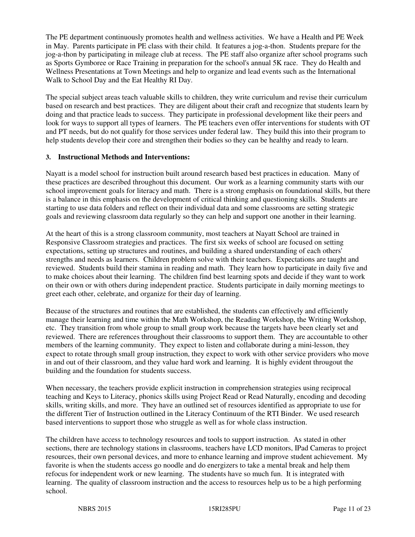The PE department continuously promotes health and wellness activities. We have a Health and PE Week in May. Parents participate in PE class with their child. It features a jog-a-thon. Students prepare for the jog-a-thon by participating in mileage club at recess. The PE staff also organize after school programs such as Sports Gymboree or Race Training in preparation for the school's annual 5K race. They do Health and Wellness Presentations at Town Meetings and help to organize and lead events such as the International Walk to School Day and the Eat Healthy RI Day.

The special subject areas teach valuable skills to children, they write curriculum and revise their curriculum based on research and best practices. They are diligent about their craft and recognize that students learn by doing and that practice leads to success. They participate in professional development like their peers and look for ways to support all types of learners. The PE teachers even offer interventions for students with OT and PT needs, but do not qualify for those services under federal law. They build this into their program to help students develop their core and strengthen their bodies so they can be healthy and ready to learn.

#### **3. Instructional Methods and Interventions:**

Nayatt is a model school for instruction built around research based best practices in education. Many of these practices are described throughout this document. Our work as a learning community starts with our school improvement goals for literacy and math. There is a strong emphasis on foundational skills, but there is a balance in this emphasis on the development of critical thinking and questioning skills. Students are starting to use data folders and reflect on their individual data and some classrooms are setting strategic goals and reviewing classroom data regularly so they can help and support one another in their learning.

At the heart of this is a strong classroom community, most teachers at Nayatt School are trained in Responsive Classroom strategies and practices. The first six weeks of school are focused on setting expectations, setting up structures and routines, and building a shared understanding of each others' strengths and needs as learners. Children problem solve with their teachers. Expectations are taught and reviewed. Students build their stamina in reading and math. They learn how to participate in daily five and to make choices about their learning. The children find best learning spots and decide if they want to work on their own or with others during independent practice. Students participate in daily morning meetings to greet each other, celebrate, and organize for their day of learning.

Because of the structures and routines that are established, the students can effectively and efficiently manage their learning and time within the Math Workshop, the Reading Workshop, the Writing Workshop, etc. They transition from whole group to small group work because the targets have been clearly set and reviewed. There are references throughout their classrooms to support them. They are accountable to other members of the learning community. They expect to listen and collaborate during a mini-lesson, they expect to rotate through small group instruction, they expect to work with other service providers who move in and out of their classroom, and they value hard work and learning. It is highly evident througout the building and the foundation for students success.

When necessary, the teachers provide explicit instruction in comprehension strategies using reciprocal teaching and Keys to Literacy, phonics skills using Project Read or Read Naturally, encoding and decoding skills, writing skills, and more. They have an outlined set of resources identified as appropriate to use for the different Tier of Instruction outlined in the Literacy Continuum of the RTI Binder. We used research based interventions to support those who struggle as well as for whole class instruction.

The children have access to technology resources and tools to support instruction. As stated in other sections, there are technology stations in classrooms, teachers have LCD monitors, IPad Cameras to project resources, their own personal devices, and more to enhance learning and improve student achievement. My favorite is when the students access go noodle and do energizers to take a mental break and help them refocus for independent work or new learning. The students have so much fun. It is integrated with learning. The quality of classroom instruction and the access to resources help us to be a high performing school.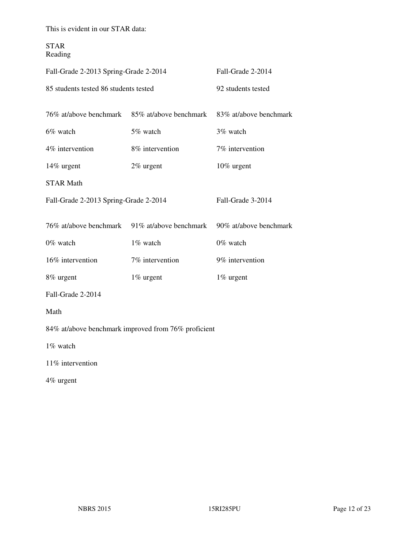This is evident in our STAR data:

STAR Reading

| Fall-Grade 2-2013 Spring-Grade 2-2014 | Fall-Grade 2-2014                                   |                        |  |  |  |
|---------------------------------------|-----------------------------------------------------|------------------------|--|--|--|
| 85 students tested 86 students tested |                                                     | 92 students tested     |  |  |  |
| 76% at/above benchmark                | 85% at/above benchmark                              | 83% at/above benchmark |  |  |  |
| 6% watch                              | 5% watch                                            | 3% watch               |  |  |  |
| 4% intervention                       | 8% intervention                                     | 7% intervention        |  |  |  |
| 14% urgent                            | 2% urgent                                           | 10% urgent             |  |  |  |
| <b>STAR Math</b>                      |                                                     |                        |  |  |  |
| Fall-Grade 2-2013 Spring-Grade 2-2014 |                                                     | Fall-Grade 3-2014      |  |  |  |
|                                       | 76% at/above benchmark 91% at/above benchmark       | 90% at/above benchmark |  |  |  |
| 0% watch                              | 1% watch                                            | 0% watch               |  |  |  |
| 16% intervention                      | 7% intervention                                     | 9% intervention        |  |  |  |
| 8% urgent                             | 1% urgent                                           | 1% urgent              |  |  |  |
| Fall-Grade 2-2014                     |                                                     |                        |  |  |  |
| Math                                  |                                                     |                        |  |  |  |
|                                       | 84% at/above benchmark improved from 76% proficient |                        |  |  |  |
| 1% watch                              |                                                     |                        |  |  |  |
| 11% intervention                      |                                                     |                        |  |  |  |
| 4% urgent                             |                                                     |                        |  |  |  |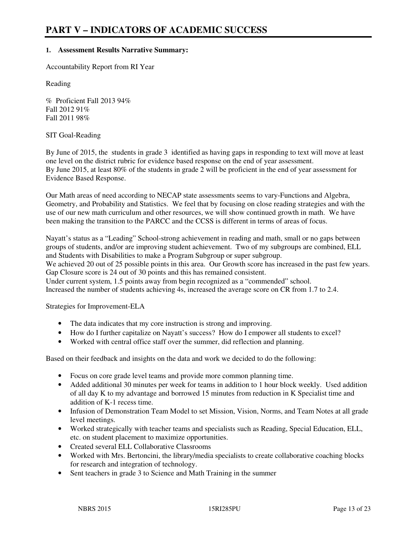#### **1. Assessment Results Narrative Summary:**

Accountability Report from RI Year

Reading

% Proficient Fall 2013 94% Fall 2012 91% Fall 2011 98%

#### SIT Goal-Reading

By June of 2015, the students in grade 3 identified as having gaps in responding to text will move at least one level on the district rubric for evidence based response on the end of year assessment. By June 2015, at least 80% of the students in grade 2 will be proficient in the end of year assessment for Evidence Based Response.

Our Math areas of need according to NECAP state assessments seems to vary-Functions and Algebra, Geometry, and Probability and Statistics. We feel that by focusing on close reading strategies and with the use of our new math curriculum and other resources, we will show continued growth in math. We have been making the transition to the PARCC and the CCSS is different in terms of areas of focus.

Nayatt's status as a "Leading" School-strong achievement in reading and math, small or no gaps between groups of students, and/or are improving student achievement. Two of my subgroups are combined, ELL and Students with Disabilities to make a Program Subgroup or super subgroup.

We achieved 20 out of 25 possible points in this area. Our Growth score has increased in the past few years. Gap Closure score is 24 out of 30 points and this has remained consistent.

Under current system, 1.5 points away from begin recognized as a "commended" school. Increased the number of students achieving 4s, increased the average score on CR from 1.7 to 2.4.

Strategies for Improvement-ELA

- The data indicates that my core instruction is strong and improving.
- How do I further capitalize on Nayatt's success? How do I empower all students to excel?
- Worked with central office staff over the summer, did reflection and planning.

Based on their feedback and insights on the data and work we decided to do the following:

- Focus on core grade level teams and provide more common planning time.
- Added additional 30 minutes per week for teams in addition to 1 hour block weekly. Used addition of all day K to my advantage and borrowed 15 minutes from reduction in K Specialist time and addition of K-1 recess time.
- Infusion of Demonstration Team Model to set Mission, Vision, Norms, and Team Notes at all grade level meetings.
- Worked strategically with teacher teams and specialists such as Reading, Special Education, ELL, etc. on student placement to maximize opportunities.
- Created several ELL Collaborative Classrooms
- Worked with Mrs. Bertoncini, the library/media specialists to create collaborative coaching blocks for research and integration of technology.
- Sent teachers in grade 3 to Science and Math Training in the summer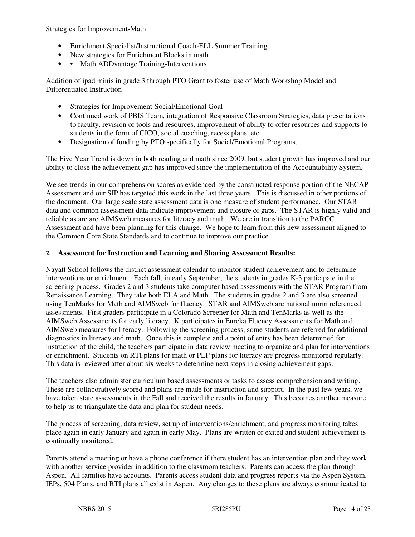Strategies for Improvement-Math

- Enrichment Specialist/Instructional Coach-ELL Summer Training
- New strategies for Enrichment Blocks in math
- • Math ADDvantage Training-Interventions

Addition of ipad minis in grade 3 through PTO Grant to foster use of Math Workshop Model and Differentiated Instruction

- Strategies for Improvement-Social/Emotional Goal
- Continued work of PBIS Team, integration of Responsive Classroom Strategies, data presentations to faculty, revision of tools and resources, improvement of ability to offer resources and supports to students in the form of CICO, social coaching, recess plans, etc.
- Designation of funding by PTO specifically for Social/Emotional Programs.

The Five Year Trend is down in both reading and math since 2009, but student growth has improved and our ability to close the achievement gap has improved since the implementation of the Accountability System.

We see trends in our comprehension scores as evidenced by the constructed response portion of the NECAP Assessment and our SIP has targeted this work in the last three years. This is discussed in other portions of the document. Our large scale state assessment data is one measure of student performance. Our STAR data and common assessment data indicate improvement and closure of gaps. The STAR is highly valid and reliable as are are AIMSweb measures for literacy and math. We are in transition to the PARCC Assessment and have been planning for this change. We hope to learn from this new assessment aligned to the Common Core State Standards and to continue to improve our practice.

#### **2. Assessment for Instruction and Learning and Sharing Assessment Results:**

Nayatt School follows the district assessment calendar to monitor student achievement and to determine interventions or enrichment. Each fall, in early September, the students in grades K-3 participate in the screening process. Grades 2 and 3 students take computer based assessments with the STAR Program from Renaissance Learning. They take both ELA and Math. The students in grades 2 and 3 are also screened using TenMarks for Math and AIMSweb for fluency. STAR and AIMSweb are national norm referenced assessments. First graders participate in a Colorado Screener for Math and TenMarks as well as the AIMSweb Assessments for early literacy. K participates in Eureka Fluency Assessments for Math and AIMSweb measures for literacy. Following the screening process, some students are referred for additional diagnostics in literacy and math. Once this is complete and a point of entry has been determined for instruction of the child, the teachers participate in data review meeting to organize and plan for interventions or enrichment. Students on RTI plans for math or PLP plans for literacy are progress monitored regularly. This data is reviewed after about six weeks to determine next steps in closing achievement gaps.

The teachers also administer curriculum based assessments or tasks to assess comprehension and writing. These are collaboratively scored and plans are made for instruction and support. In the past few years, we have taken state assessments in the Fall and received the results in January. This becomes another measure to help us to triangulate the data and plan for student needs.

The process of screening, data review, set up of interventions/enrichment, and progress monitoring takes place again in early January and again in early May. Plans are written or exited and student achievement is continually monitored.

Parents attend a meeting or have a phone conference if there student has an intervention plan and they work with another service provider in addition to the classroom teachers. Parents can access the plan through Aspen. All families have accounts. Parents access student data and progress reports via the Aspen System. IEPs, 504 Plans, and RTI plans all exist in Aspen. Any changes to these plans are always communicated to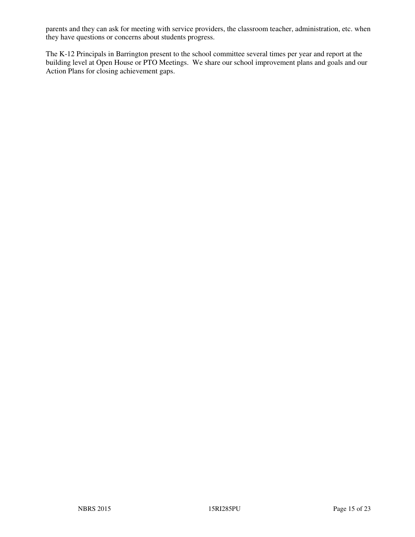parents and they can ask for meeting with service providers, the classroom teacher, administration, etc. when they have questions or concerns about students progress.

The K-12 Principals in Barrington present to the school committee several times per year and report at the building level at Open House or PTO Meetings. We share our school improvement plans and goals and our Action Plans for closing achievement gaps.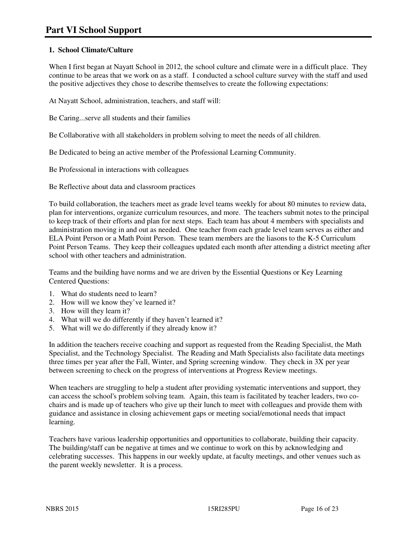## **1. School Climate/Culture**

When I first began at Nayatt School in 2012, the school culture and climate were in a difficult place. They continue to be areas that we work on as a staff. I conducted a school culture survey with the staff and used the positive adjectives they chose to describe themselves to create the following expectations:

At Nayatt School, administration, teachers, and staff will:

Be Caring...serve all students and their families

Be Collaborative with all stakeholders in problem solving to meet the needs of all children.

Be Dedicated to being an active member of the Professional Learning Community.

Be Professional in interactions with colleagues

Be Reflective about data and classroom practices

To build collaboration, the teachers meet as grade level teams weekly for about 80 minutes to review data, plan for interventions, organize curriculum resources, and more. The teachers submit notes to the principal to keep track of their efforts and plan for next steps. Each team has about 4 members with specialists and administration moving in and out as needed. One teacher from each grade level team serves as either and ELA Point Person or a Math Point Person. These team members are the liasons to the K-5 Curriculum Point Person Teams. They keep their colleagues updated each month after attending a district meeting after school with other teachers and administration.

Teams and the building have norms and we are driven by the Essential Questions or Key Learning Centered Questions:

- 1. What do students need to learn?
- 2. How will we know they've learned it?
- 3. How will they learn it?
- 4. What will we do differently if they haven't learned it?
- 5. What will we do differently if they already know it?

In addition the teachers receive coaching and support as requested from the Reading Specialist, the Math Specialist, and the Technology Specialist. The Reading and Math Specialists also facilitate data meetings three times per year after the Fall, Winter, and Spring screening window. They check in 3X per year between screening to check on the progress of interventions at Progress Review meetings.

When teachers are struggling to help a student after providing systematic interventions and support, they can access the school's problem solving team. Again, this team is facilitated by teacher leaders, two cochairs and is made up of teachers who give up their lunch to meet with colleagues and provide them with guidance and assistance in closing achievement gaps or meeting social/emotional needs that impact learning.

Teachers have various leadership opportunities and opportunities to collaborate, building their capacity. The building/staff can be negative at times and we continue to work on this by acknowledging and celebrating successes. This happens in our weekly update, at faculty meetings, and other venues such as the parent weekly newsletter. It is a process.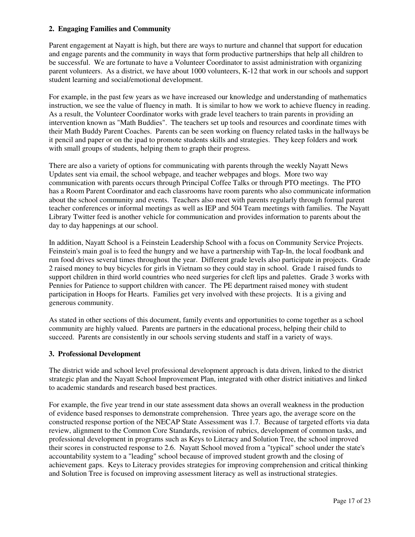#### **2. Engaging Families and Community**

Parent engagement at Nayatt is high, but there are ways to nurture and channel that support for education and engage parents and the community in ways that form productive partnerships that help all children to be successful. We are fortunate to have a Volunteer Coordinator to assist administration with organizing parent volunteers. As a district, we have about 1000 volunteers, K-12 that work in our schools and support student learning and social/emotional development.

For example, in the past few years as we have increased our knowledge and understanding of mathematics instruction, we see the value of fluency in math. It is similar to how we work to achieve fluency in reading. As a result, the Volunteer Coordinator works with grade level teachers to train parents in providing an intervention known as "Math Buddies". The teachers set up tools and resources and coordinate times with their Math Buddy Parent Coaches. Parents can be seen working on fluency related tasks in the hallways be it pencil and paper or on the ipad to promote students skills and strategies. They keep folders and work with small groups of students, helping them to graph their progress.

There are also a variety of options for communicating with parents through the weekly Nayatt News Updates sent via email, the school webpage, and teacher webpages and blogs. More two way communication with parents occurs through Principal Coffee Talks or through PTO meetings. The PTO has a Room Parent Coordinator and each classrooms have room parents who also communicate information about the school community and events. Teachers also meet with parents regularly through formal parent teacher conferences or informal meetings as well as IEP and 504 Team meetings with families. The Nayatt Library Twitter feed is another vehicle for communication and provides information to parents about the day to day happenings at our school.

In addition, Nayatt School is a Feinstein Leadership School with a focus on Community Service Projects. Feinstein's main goal is to feed the hungry and we have a partnership with Tap-In, the local foodbank and run food drives several times throughout the year. Different grade levels also participate in projects. Grade 2 raised money to buy bicycles for girls in Vietnam so they could stay in school. Grade 1 raised funds to support children in third world countries who need surgeries for cleft lips and palettes. Grade 3 works with Pennies for Patience to support children with cancer. The PE department raised money with student participation in Hoops for Hearts. Families get very involved with these projects. It is a giving and generous community.

As stated in other sections of this document, family events and opportunities to come together as a school community are highly valued. Parents are partners in the educational process, helping their child to succeed. Parents are consistently in our schools serving students and staff in a variety of ways.

#### **3. Professional Development**

The district wide and school level professional development approach is data driven, linked to the district strategic plan and the Nayatt School Improvement Plan, integrated with other district initiatives and linked to academic standards and research based best practices.

For example, the five year trend in our state assessment data shows an overall weakness in the production of evidence based responses to demonstrate comprehension. Three years ago, the average score on the constructed response portion of the NECAP State Assessment was 1.7. Because of targeted efforts via data review, alignment to the Common Core Standards, revision of rubrics, development of common tasks, and professional development in programs such as Keys to Literacy and Solution Tree, the school improved their scores in constructed response to 2.6. Nayatt School moved from a "typical" school under the state's accountability system to a "leading" school because of improved student growth and the closing of achievement gaps. Keys to Literacy provides strategies for improving comprehension and critical thinking and Solution Tree is focused on improving assessment literacy as well as instructional strategies.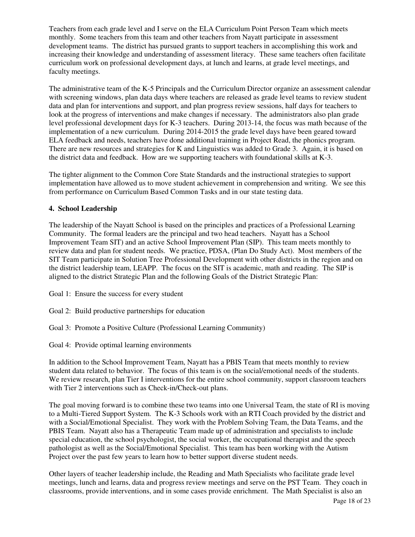Teachers from each grade level and I serve on the ELA Curriculum Point Person Team which meets monthly. Some teachers from this team and other teachers from Nayatt participate in assessment development teams. The district has pursued grants to support teachers in accomplishing this work and increasing their knowledge and understanding of assessment literacy. These same teachers often facilitate curriculum work on professional development days, at lunch and learns, at grade level meetings, and faculty meetings.

The administrative team of the K-5 Principals and the Curriculum Director organize an assessment calendar with screening windows, plan data days where teachers are released as grade level teams to review student data and plan for interventions and support, and plan progress review sessions, half days for teachers to look at the progress of interventions and make changes if necessary. The administrators also plan grade level professional development days for K-3 teachers. During 2013-14, the focus was math because of the implementation of a new curriculum. During 2014-2015 the grade level days have been geared toward ELA feedback and needs, teachers have done additional training in Project Read, the phonics program. There are new resources and strategies for K and Linguistics was added to Grade 3. Again, it is based on the district data and feedback. How are we supporting teachers with foundational skills at K-3.

The tighter alignment to the Common Core State Standards and the instructional strategies to support implementation have allowed us to move student achievement in comprehension and writing. We see this from performance on Curriculum Based Common Tasks and in our state testing data.

#### **4. School Leadership**

The leadership of the Nayatt School is based on the principles and practices of a Professional Learning Community. The formal leaders are the principal and two head teachers. Nayatt has a School Improvement Team SIT) and an active School Improvement Plan (SIP). This team meets monthly to review data and plan for student needs. We practice, PDSA, (Plan Do Study Act). Most members of the SIT Team participate in Solution Tree Professional Development with other districts in the region and on the district leadership team, LEAPP. The focus on the SIT is academic, math and reading. The SIP is aligned to the district Strategic Plan and the following Goals of the District Strategic Plan:

Goal 1: Ensure the success for every student

Goal 2: Build productive partnerships for education

Goal 3: Promote a Positive Culture (Professional Learning Community)

Goal 4: Provide optimal learning environments

In addition to the School Improvement Team, Nayatt has a PBIS Team that meets monthly to review student data related to behavior. The focus of this team is on the social/emotional needs of the students. We review research, plan Tier I interventions for the entire school community, support classroom teachers with Tier 2 interventions such as Check-in/Check-out plans.

The goal moving forward is to combine these two teams into one Universal Team, the state of RI is moving to a Multi-Tiered Support System. The K-3 Schools work with an RTI Coach provided by the district and with a Social/Emotional Specialist. They work with the Problem Solving Team, the Data Teams, and the PBIS Team. Nayatt also has a Therapeutic Team made up of administration and specialists to include special education, the school psychologist, the social worker, the occupational therapist and the speech pathologist as well as the Social/Emotional Specialist. This team has been working with the Autism Project over the past few years to learn how to better support diverse student needs.

Other layers of teacher leadership include, the Reading and Math Specialists who facilitate grade level meetings, lunch and learns, data and progress review meetings and serve on the PST Team. They coach in classrooms, provide interventions, and in some cases provide enrichment. The Math Specialist is also an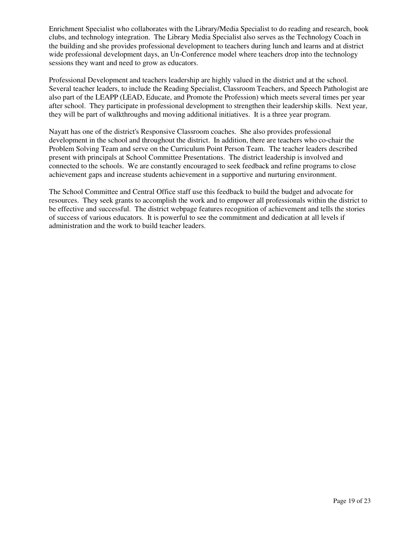Enrichment Specialist who collaborates with the Library/Media Specialist to do reading and research, book clubs, and technology integration. The Library Media Specialist also serves as the Technology Coach in the building and she provides professional development to teachers during lunch and learns and at district wide professional development days, an Un-Conference model where teachers drop into the technology sessions they want and need to grow as educators.

Professional Development and teachers leadership are highly valued in the district and at the school. Several teacher leaders, to include the Reading Specialist, Classroom Teachers, and Speech Pathologist are also part of the LEAPP (LEAD, Educate, and Promote the Profession) which meets several times per year after school. They participate in professional development to strengthen their leadership skills. Next year, they will be part of walkthroughs and moving additional initiatives. It is a three year program.

Nayatt has one of the district's Responsive Classroom coaches. She also provides professional development in the school and throughout the district. In addition, there are teachers who co-chair the Problem Solving Team and serve on the Curriculum Point Person Team. The teacher leaders described present with principals at School Committee Presentations. The district leadership is involved and connected to the schools. We are constantly encouraged to seek feedback and refine programs to close achievement gaps and increase students achievement in a supportive and nurturing environment.

The School Committee and Central Office staff use this feedback to build the budget and advocate for resources. They seek grants to accomplish the work and to empower all professionals within the district to be effective and successful. The district webpage features recognition of achievement and tells the stories of success of various educators. It is powerful to see the commitment and dedication at all levels if administration and the work to build teacher leaders.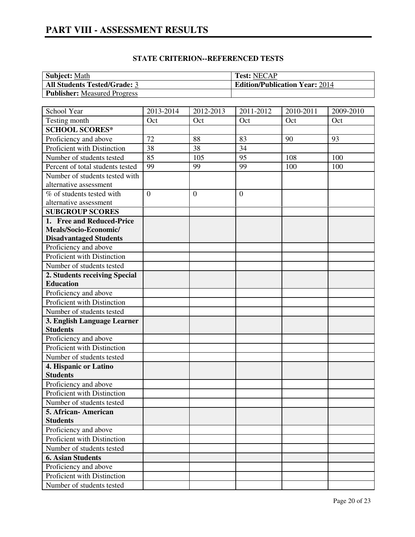# **PART VIII - ASSESSMENT RESULTS**

## **STATE CRITERION--REFERENCED TESTS**

| <b>Subject: Math</b>                | <b>Test: NECAP</b>                    |
|-------------------------------------|---------------------------------------|
| <b>All Students Tested/Grade: 3</b> | <b>Edition/Publication Year: 2014</b> |
| <b>Publisher:</b> Measured Progress |                                       |

| School Year                                    | 2013-2014      | 2012-2013    | 2011-2012        | 2010-2011 | 2009-2010 |
|------------------------------------------------|----------------|--------------|------------------|-----------|-----------|
| Testing month                                  | Oct            | Oct          | Oct              | Oct       | Oct       |
| <b>SCHOOL SCORES*</b>                          |                |              |                  |           |           |
| Proficiency and above                          | 72             | 88           | 83               | 90        | 93        |
| Proficient with Distinction                    | 38             | 38           | 34               |           |           |
| Number of students tested                      | 85             | 105          | 95               | 108       | 100       |
| Percent of total students tested               | 99             | 99           | 99               | 100       | 100       |
| Number of students tested with                 |                |              |                  |           |           |
| alternative assessment                         |                |              |                  |           |           |
| % of students tested with                      | $\overline{0}$ | $\mathbf{0}$ | $\boldsymbol{0}$ |           |           |
| alternative assessment                         |                |              |                  |           |           |
| <b>SUBGROUP SCORES</b>                         |                |              |                  |           |           |
| 1. Free and Reduced-Price                      |                |              |                  |           |           |
| Meals/Socio-Economic/                          |                |              |                  |           |           |
| <b>Disadvantaged Students</b>                  |                |              |                  |           |           |
| Proficiency and above                          |                |              |                  |           |           |
| Proficient with Distinction                    |                |              |                  |           |           |
| Number of students tested                      |                |              |                  |           |           |
| 2. Students receiving Special                  |                |              |                  |           |           |
| <b>Education</b>                               |                |              |                  |           |           |
| Proficiency and above                          |                |              |                  |           |           |
| Proficient with Distinction                    |                |              |                  |           |           |
| Number of students tested                      |                |              |                  |           |           |
| 3. English Language Learner<br><b>Students</b> |                |              |                  |           |           |
| Proficiency and above                          |                |              |                  |           |           |
| Proficient with Distinction                    |                |              |                  |           |           |
| Number of students tested                      |                |              |                  |           |           |
|                                                |                |              |                  |           |           |
| 4. Hispanic or Latino<br><b>Students</b>       |                |              |                  |           |           |
| Proficiency and above                          |                |              |                  |           |           |
| Proficient with Distinction                    |                |              |                  |           |           |
| Number of students tested                      |                |              |                  |           |           |
| 5. African- American                           |                |              |                  |           |           |
| <b>Students</b>                                |                |              |                  |           |           |
| Proficiency and above                          |                |              |                  |           |           |
| Proficient with Distinction                    |                |              |                  |           |           |
| Number of students tested                      |                |              |                  |           |           |
| <b>6. Asian Students</b>                       |                |              |                  |           |           |
| Proficiency and above                          |                |              |                  |           |           |
| Proficient with Distinction                    |                |              |                  |           |           |
| Number of students tested                      |                |              |                  |           |           |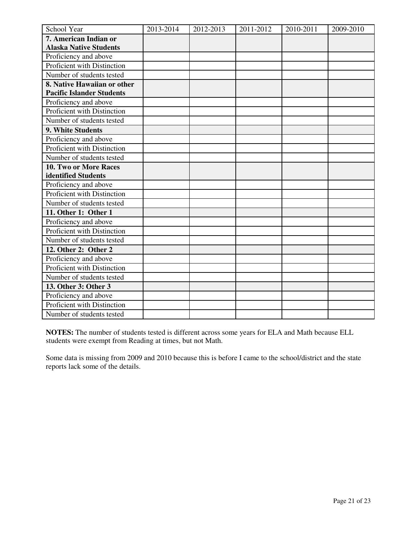| School Year                      | 2013-2014 | 2012-2013 | 2011-2012 | 2010-2011 | 2009-2010 |
|----------------------------------|-----------|-----------|-----------|-----------|-----------|
| 7. American Indian or            |           |           |           |           |           |
| <b>Alaska Native Students</b>    |           |           |           |           |           |
| Proficiency and above            |           |           |           |           |           |
| Proficient with Distinction      |           |           |           |           |           |
| Number of students tested        |           |           |           |           |           |
| 8. Native Hawaiian or other      |           |           |           |           |           |
| <b>Pacific Islander Students</b> |           |           |           |           |           |
| Proficiency and above            |           |           |           |           |           |
| Proficient with Distinction      |           |           |           |           |           |
| Number of students tested        |           |           |           |           |           |
| 9. White Students                |           |           |           |           |           |
| Proficiency and above            |           |           |           |           |           |
| Proficient with Distinction      |           |           |           |           |           |
| Number of students tested        |           |           |           |           |           |
| <b>10. Two or More Races</b>     |           |           |           |           |           |
| identified Students              |           |           |           |           |           |
| Proficiency and above            |           |           |           |           |           |
| Proficient with Distinction      |           |           |           |           |           |
| Number of students tested        |           |           |           |           |           |
| 11. Other 1: Other 1             |           |           |           |           |           |
| Proficiency and above            |           |           |           |           |           |
| Proficient with Distinction      |           |           |           |           |           |
| Number of students tested        |           |           |           |           |           |
| 12. Other 2: Other 2             |           |           |           |           |           |
| Proficiency and above            |           |           |           |           |           |
| Proficient with Distinction      |           |           |           |           |           |
| Number of students tested        |           |           |           |           |           |
| 13. Other 3: Other 3             |           |           |           |           |           |
| Proficiency and above            |           |           |           |           |           |
| Proficient with Distinction      |           |           |           |           |           |
| Number of students tested        |           |           |           |           |           |

**NOTES:** The number of students tested is different across some years for ELA and Math because ELL students were exempt from Reading at times, but not Math.

Some data is missing from 2009 and 2010 because this is before I came to the school/district and the state reports lack some of the details.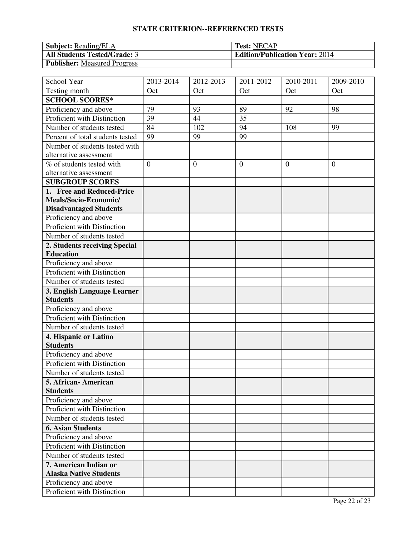# **STATE CRITERION--REFERENCED TESTS**

| <b>Subject:</b> Reading/ELA         | <b>Test: NECAP</b>                    |
|-------------------------------------|---------------------------------------|
| <b>All Students Tested/Grade: 3</b> | <b>Edition/Publication Year: 2014</b> |
| <b>Publisher:</b> Measured Progress |                                       |

| School Year                      | 2013-2014      | 2012-2013 | 2011-2012      | 2010-2011 | 2009-2010      |
|----------------------------------|----------------|-----------|----------------|-----------|----------------|
| Testing month                    | Oct            | Oct       | Oct            | Oct       | Oct            |
| <b>SCHOOL SCORES*</b>            |                |           |                |           |                |
| Proficiency and above            | 79             | 93        | 89             | 92        | 98             |
| Proficient with Distinction      | 39             | 44        | 35             |           |                |
| Number of students tested        | 84             | 102       | 94             | 108       | 99             |
| Percent of total students tested | 99             | 99        | 99             |           |                |
| Number of students tested with   |                |           |                |           |                |
| alternative assessment           |                |           |                |           |                |
| % of students tested with        | $\overline{0}$ | $\theta$  | $\overline{0}$ | $\theta$  | $\overline{0}$ |
| alternative assessment           |                |           |                |           |                |
| <b>SUBGROUP SCORES</b>           |                |           |                |           |                |
| 1. Free and Reduced-Price        |                |           |                |           |                |
| Meals/Socio-Economic/            |                |           |                |           |                |
| <b>Disadvantaged Students</b>    |                |           |                |           |                |
| Proficiency and above            |                |           |                |           |                |
| Proficient with Distinction      |                |           |                |           |                |
| Number of students tested        |                |           |                |           |                |
| 2. Students receiving Special    |                |           |                |           |                |
| <b>Education</b>                 |                |           |                |           |                |
| Proficiency and above            |                |           |                |           |                |
| Proficient with Distinction      |                |           |                |           |                |
| Number of students tested        |                |           |                |           |                |
| 3. English Language Learner      |                |           |                |           |                |
| <b>Students</b>                  |                |           |                |           |                |
| Proficiency and above            |                |           |                |           |                |
| Proficient with Distinction      |                |           |                |           |                |
| Number of students tested        |                |           |                |           |                |
| 4. Hispanic or Latino            |                |           |                |           |                |
| <b>Students</b>                  |                |           |                |           |                |
| Proficiency and above            |                |           |                |           |                |
| Proficient with Distinction      |                |           |                |           |                |
| Number of students tested        |                |           |                |           |                |
| 5. African- American             |                |           |                |           |                |
| <b>Students</b>                  |                |           |                |           |                |
| Proficiency and above            |                |           |                |           |                |
| Proficient with Distinction      |                |           |                |           |                |
| Number of students tested        |                |           |                |           |                |
| <b>6. Asian Students</b>         |                |           |                |           |                |
| Proficiency and above            |                |           |                |           |                |
| Proficient with Distinction      |                |           |                |           |                |
| Number of students tested        |                |           |                |           |                |
| 7. American Indian or            |                |           |                |           |                |
| <b>Alaska Native Students</b>    |                |           |                |           |                |
| Proficiency and above            |                |           |                |           |                |
| Proficient with Distinction      |                |           |                |           |                |